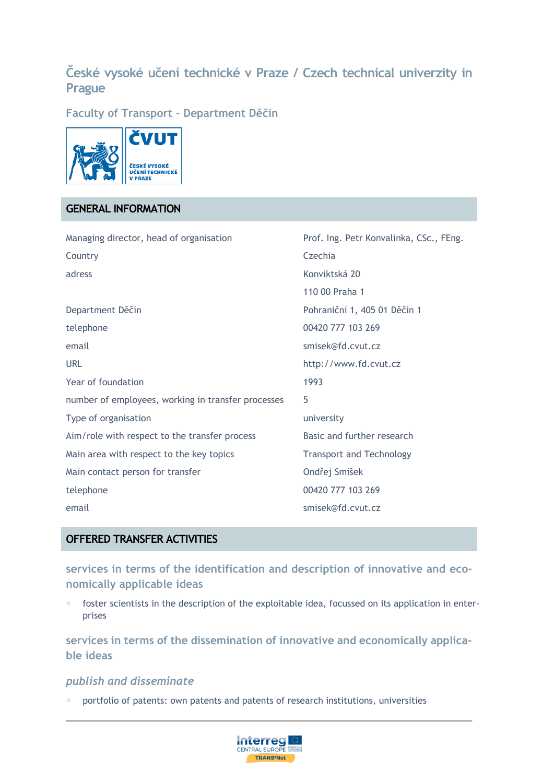# **České vysoké učení technické v Praze / Czech technical univerzity in Prague**

**Faculty of Transport - Department Děčín**



# **GENERAL INFORMATION**

| Managing director, head of organisation            | Prof. Ing. Petr Konvalinka, CSc., FEng. |
|----------------------------------------------------|-----------------------------------------|
| Country                                            | Czechia                                 |
| adress                                             | Konviktská 20                           |
|                                                    | 110 00 Praha 1                          |
| Department Děčín                                   | Pohraniční 1, 405 01 Děčín 1            |
| telephone                                          | 00420 777 103 269                       |
| email                                              | smisek@fd.cvut.cz                       |
| <b>URL</b>                                         | http://www.fd.cvut.cz                   |
| Year of foundation                                 | 1993                                    |
| number of employees, working in transfer processes | 5                                       |
| Type of organisation                               | university                              |
| Aim/role with respect to the transfer process      | Basic and further research              |
| Main area with respect to the key topics           | <b>Transport and Technology</b>         |
| Main contact person for transfer                   | Ondřej Smíšek                           |
| telephone                                          | 00420 777 103 269                       |
| email                                              | smisek@fd.cvut.cz                       |

# **OFFERED TRANSFER ACTIVITIES**

**services in terms of the identification and description of innovative and economically applicable ideas**

 foster scientists in the description of the exploitable idea, focussed on its application in enterprises

**services in terms of the dissemination of innovative and economically applicable ideas**

### *publish and disseminate*

portfolio of patents: own patents and patents of research institutions, universities

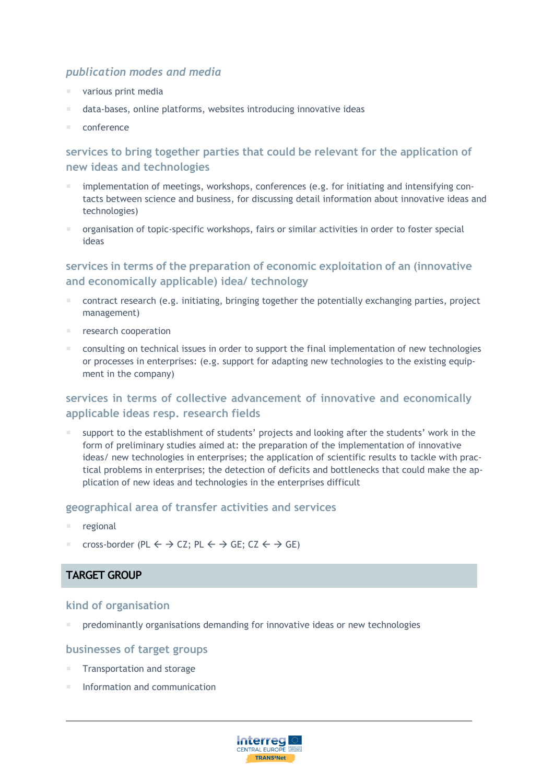#### *publication modes and media*

- various print media
- data-bases, online platforms, websites introducing innovative ideas
- conference

### **services to bring together parties that could be relevant for the application of new ideas and technologies**

- implementation of meetings, workshops, conferences (e.g. for initiating and intensifying contacts between science and business, for discussing detail information about innovative ideas and technologies)
- organisation of topic-specific workshops, fairs or similar activities in order to foster special ideas

### **services in terms of the preparation of economic exploitation of an (innovative and economically applicable) idea/ technology**

- contract research (e.g. initiating, bringing together the potentially exchanging parties, project management)
- research cooperation
- **EXCONSTERGHTM** consulting on technical issues in order to support the final implementation of new technologies or processes in enterprises: (e.g. support for adapting new technologies to the existing equipment in the company)

# **services in terms of collective advancement of innovative and economically applicable ideas resp. research fields**

 support to the establishment of students' projects and looking after the students' work in the form of preliminary studies aimed at: the preparation of the implementation of innovative ideas/ new technologies in enterprises; the application of scientific results to tackle with practical problems in enterprises; the detection of deficits and bottlenecks that could make the application of new ideas and technologies in the enterprises difficult

#### **geographical area of transfer activities and services**

- regional
- cross-border (PL  $\leftarrow \rightarrow$  CZ; PL  $\leftarrow \rightarrow$  GE; CZ  $\leftarrow \rightarrow$  GE)

### **TARGET GROUP**

#### **kind of organisation**

predominantly organisations demanding for innovative ideas or new technologies

#### **businesses of target groups**

- Transportation and storage
- Information and communication